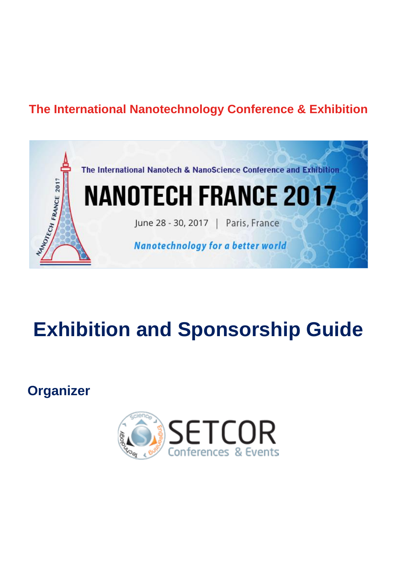## **The International Nanotechnology Conference & Exhibition**



# **Exhibition and Sponsorship Guide**

**Organizer**

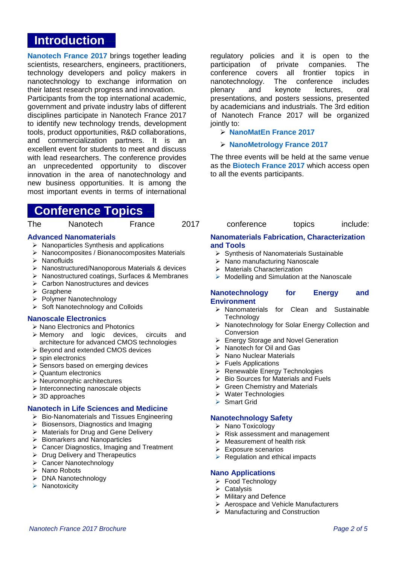### **Introduction**

**[Nanotech France 2017](http://www.setcor.org/conferences/Nanotech-France-2017)** brings together leading scientists, researchers, engineers, practitioners, technology developers and policy makers in nanotechnology to exchange information on their latest research progress and innovation.

Participants from the top international academic, government and private industry labs of different disciplines participate in Nanotech France 2017 to identify new technology trends, development tools, product opportunities, R&D collaborations, and commercialization partners. It is an excellent event for students to meet and discuss with lead researchers. The conference provides an unprecedented opportunity to discover innovation in the area of nanotechnology and new business opportunities. It is among the most important events in terms of international

### **Conference Topics**

#### **Advanced Nanomaterials**

- $\triangleright$  Nanoparticles Synthesis and applications
- $\triangleright$  Nanocomposites / Bionanocomposites Materials
- $\triangleright$  Nanofluids
- Nanostructured/Nanoporous Materials & devices
- Nanostructured coatings, Surfaces & Membranes
- **▶ Carbon Nanostructures and devices**
- $\triangleright$  Graphene
- ▶ Polymer Nanotechnology
- $\triangleright$  Soft Nanotechnology and Colloids

#### **Nanoscale Electronics**

- $\triangleright$  Nano Electronics and Photonics
- Memory and logic devices, circuits and architecture for advanced CMOS technologies
- ▶ Beyond and extended CMOS devices
- $\triangleright$  spin electronics
- $\triangleright$  Sensors based on emerging devices
- $\triangleright$  Quantum electronics
- Neuromorphic architectures
- $\triangleright$  Interconnecting nanoscale objects
- 3D approaches

#### **Nanotech in Life Sciences and Medicine**

- $\triangleright$  Bio-Nanomaterials and Tissues Engineering
- $\triangleright$  Biosensors, Diagnostics and Imaging
- $\triangleright$  Materials for Drug and Gene Delivery
- $\triangleright$  Biomarkers and Nanoparticles
- Cancer Diagnostics, Imaging and Treatment
- Drug Delivery and Therapeutics
- ▶ Cancer Nanotechnology
- $\triangleright$  Nano Robots
- > DNA Nanotechnology
- $\triangleright$  Nanotoxicity

regulatory policies and it is open to the participation of private companies. The conference covers all frontier topics in nanotechnology. The conference includes plenary and keynote lectures, oral presentations, and posters sessions, presented by academicians and industrials. The 3rd edition of Nanotech France 2017 will be organized jointly to:

#### **[NanoMatEn France 2017](http://www.setcor.org/conferences/NanoMatEn-2017)**

#### **[NanoMetrology France 2017](http://www.setcor.org/conferences/NanoMetrology-2017)**

The three events will be held at the same venue as the **[Biotech France 2017](http://www.setcor.org/conferences/Biotech-France-2017)** which access open to all the events participants.

| The | Nanotech | France | 2017 | conference | topics | include: |
|-----|----------|--------|------|------------|--------|----------|
|-----|----------|--------|------|------------|--------|----------|

#### **Nanomaterials Fabrication, Characterization and Tools**

- $\triangleright$  Synthesis of Nanomaterials Sustainable
- > Nano manufacturing Nanoscale
- > Materials Characterization
- $\triangleright$  Modelling and Simulation at the Nanoscale

#### **Nanotechnology for Energy and Environment**

- Nanomaterials for Clean and Sustainable **Technology**
- ▶ Nanotechnology for Solar Energy Collection and Conversion
- ▶ Energy Storage and Novel Generation
- $\triangleright$  Nanotech for Oil and Gas
- $\triangleright$  Nano Nuclear Materials
- $\triangleright$  Fuels Applications
- ▶ Renewable Energy Technologies
- $\triangleright$  Bio Sources for Materials and Fuels
- $\triangleright$  Green Chemistry and Materials
- ▶ Water Technologies
- ▶ Smart Grid

#### **Nanotechnology Safety**

- $\triangleright$  Nano Toxicology
- $\triangleright$  Risk assessment and management
- $\triangleright$  Measurement of health risk
- $\triangleright$  Exposure scenarios
- $\triangleright$  Regulation and ethical impacts

#### **Nano Applications**

- Food Technology
- $\triangleright$  Catalysis
- $\triangleright$  Military and Defence
- **▶ Aerospace and Vehicle Manufacturers**
- ▶ Manufacturing and Construction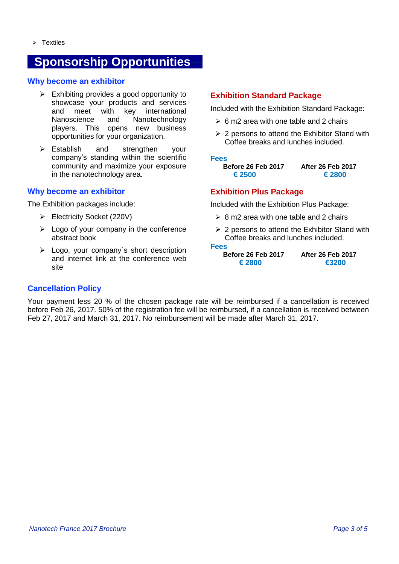### **Sponsorship Opportunities**

#### **Why become an exhibitor**

- $\triangleright$  Exhibiting provides a good opportunity to showcase your products and services<br>and meet with key international meet with key international Nanoscience and Nanotechnology players. This opens new business opportunities for your organization.
- Establish and strengthen your company's standing within the scientific community and maximize your exposure in the nanotechnology area.

#### **Why become an exhibitor**

The Exhibition packages include:

- Electricity Socket (220V)
- $\triangleright$  Logo of your company in the conference abstract book
- $\geq$  Logo, your company's short description and internet link at the conference web site

### **Exhibition Standard Package**

Included with the Exhibition Standard Package:

- $\geq 6$  m2 area with one table and 2 chairs
- $\geq$  2 persons to attend the Exhibitor Stand with Coffee breaks and lunches included.

#### **Fees**

**Before 26 Feb 2017 After 26 Feb 2017 € 2500 € 2800**

#### **Exhibition Plus Package**

Included with the Exhibition Plus Package:

- $\geq 8$  m2 area with one table and 2 chairs
- $\geq$  2 persons to attend the Exhibitor Stand with Coffee breaks and lunches included.

**Fees**

**Before 26 Feb 2017 After 26 Feb 2017 € 2800 €3200**

#### **Cancellation Policy**

Your payment less 20 % of the chosen package rate will be reimbursed if a cancellation is received before Feb 26, 2017. 50% of the registration fee will be reimbursed, if a cancellation is received between Feb 27, 2017 and March 31, 2017. No reimbursement will be made after March 31, 2017.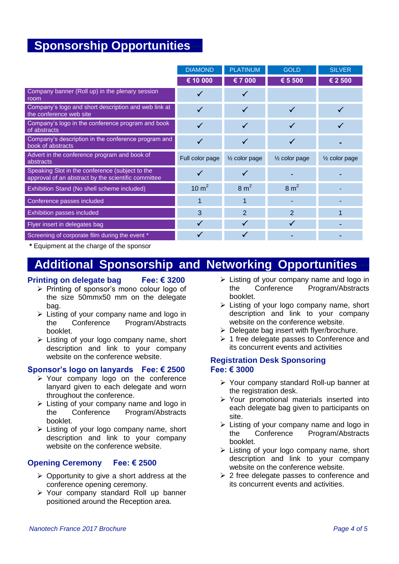### **Sponsorship Opportunities**

|                                                                                                        | <b>DIAMOND</b>  | <b>PLATINUM</b>          | <b>GOLD</b>                | <b>SILVER</b>            |
|--------------------------------------------------------------------------------------------------------|-----------------|--------------------------|----------------------------|--------------------------|
|                                                                                                        | € 10 000        | € 7 000                  | € 5 500                    | € 2 500                  |
| Company banner (Roll up) in the plenary session<br>room                                                | ✓               | √                        |                            |                          |
| Company's logo and short description and web link at<br>the conference web site                        | ✓               | $\checkmark$             | $\checkmark$               |                          |
| Company's logo in the conference program and book<br>of abstracts                                      | ✓               | ✓                        |                            |                          |
| Company's description in the conference program and<br>book of abstracts                               | $\checkmark$    | $\checkmark$             | $\checkmark$               |                          |
| Advert in the conference program and book of<br>abstracts                                              | Full color page | $\frac{1}{2}$ color page | 1/ <sub>2</sub> color page | $\frac{1}{2}$ color page |
|                                                                                                        |                 |                          |                            |                          |
| Speaking Slot in the conference (subject to the<br>approval of an abstract by the scientific committee | ✓               | √                        |                            |                          |
| Exhibition Stand (No shell scheme included)                                                            | 10 $m2$         | $8 \text{ m}^2$          | $8 \text{ m}^2$            |                          |
| Conference passes included                                                                             | 1               | 1                        |                            |                          |
| Exhibition passes included                                                                             | 3               | $\overline{2}$           | $\overline{2}$             |                          |
| Flyer insert in delegates bag                                                                          | $\checkmark$    | $\checkmark$             | $\checkmark$               |                          |

**\*** Equipment at the charge of the sponsor

### **Additional Sponsorship and Networking Opportunities**

#### **Printing on delegate bag Fee: € 3200**

- $\triangleright$  Printing of sponsor's mono colour logo of the size 50mmx50 mm on the delegate bag.
- $\triangleright$  Listing of your company name and logo in the Conference Program/Abstracts booklet.
- $\triangleright$  Listing of your logo company name, short description and link to your company website on the conference website.

#### **Sponsor's logo on lanyards Fee: € 2500**

- Your company logo on the conference lanyard given to each delegate and worn throughout the conference.
- $\triangleright$  Listing of your company name and logo in the Conference Program/Abstracts booklet.
- $\triangleright$  Listing of your logo company name, short description and link to your company website on the conference website.

#### **Opening Ceremony Fee: € 2500**

- $\triangleright$  Opportunity to give a short address at the conference opening ceremony.
- Your company standard Roll up banner positioned around the Reception area.
- $\triangleright$  Listing of your company name and logo in the Conference Program/Abstracts booklet.
- $\triangleright$  Listing of your logo company name, short description and link to your company website on the conference website.
- $\triangleright$  Delegate bag insert with flyer/brochure.
- $\geq 1$  free delegate passes to Conference and its concurrent events and activities

#### **Registration Desk Sponsoring Fee: € 3000**

- Your company standard Roll-up banner at the registration desk.
- $\triangleright$  Your promotional materials inserted into each delegate bag given to participants on site.
- Listing of your company name and logo in the Conference Program/Abstracts booklet.
- > Listing of your logo company name, short description and link to your company website on the conference website.
- $\geq$  2 free delegate passes to conference and its concurrent events and activities.